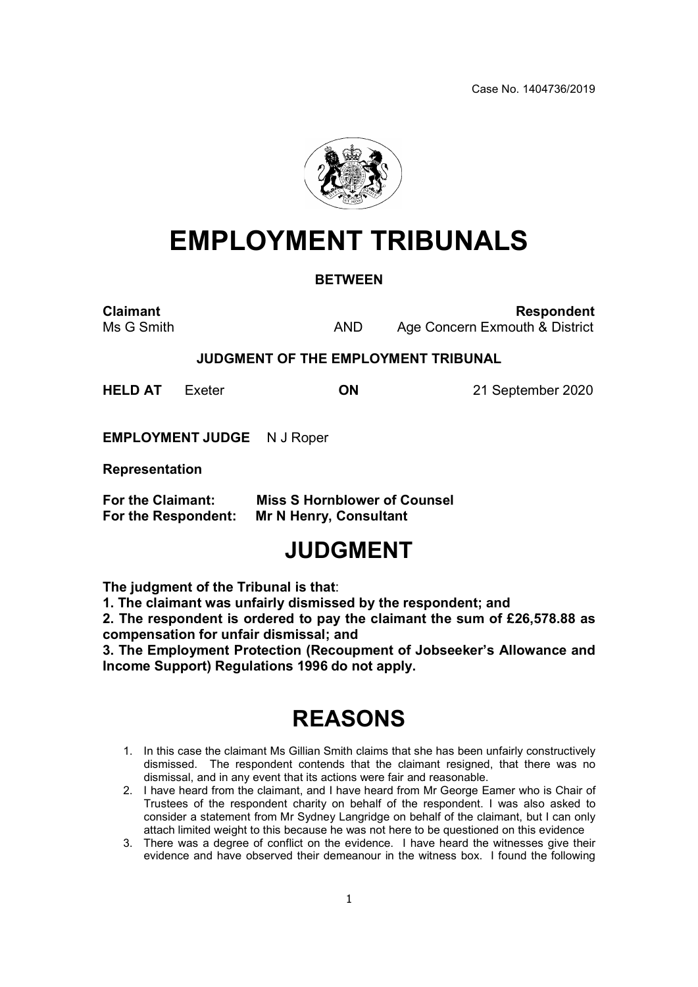Case No. 1404736/2019



# EMPLOYMENT TRIBUNALS

#### **BETWEEN**

Claimant **Claimant** Respondent Ms G Smith **AND** Age Concern Exmouth & District

#### JUDGMENT OF THE EMPLOYMENT TRIBUNAL

HELD AT Exeter **ON** 21 September 2020

EMPLOYMENT JUDGE N J Roper

Representation

| For the Claimant:   | <b>Miss S Hornblower of Counsel</b> |
|---------------------|-------------------------------------|
| For the Respondent: | <b>Mr N Henry, Consultant</b>       |

### JUDGMENT

The judgment of the Tribunal is that:

1. The claimant was unfairly dismissed by the respondent; and

2. The respondent is ordered to pay the claimant the sum of £26,578.88 as compensation for unfair dismissal; and

3. The Employment Protection (Recoupment of Jobseeker's Allowance and Income Support) Regulations 1996 do not apply.

## REASONS

- 1. In this case the claimant Ms Gillian Smith claims that she has been unfairly constructively dismissed. The respondent contends that the claimant resigned, that there was no dismissal, and in any event that its actions were fair and reasonable.
- 2. I have heard from the claimant, and I have heard from Mr George Eamer who is Chair of Trustees of the respondent charity on behalf of the respondent. I was also asked to consider a statement from Mr Sydney Langridge on behalf of the claimant, but I can only attach limited weight to this because he was not here to be questioned on this evidence
- 3. There was a degree of conflict on the evidence. I have heard the witnesses give their evidence and have observed their demeanour in the witness box. I found the following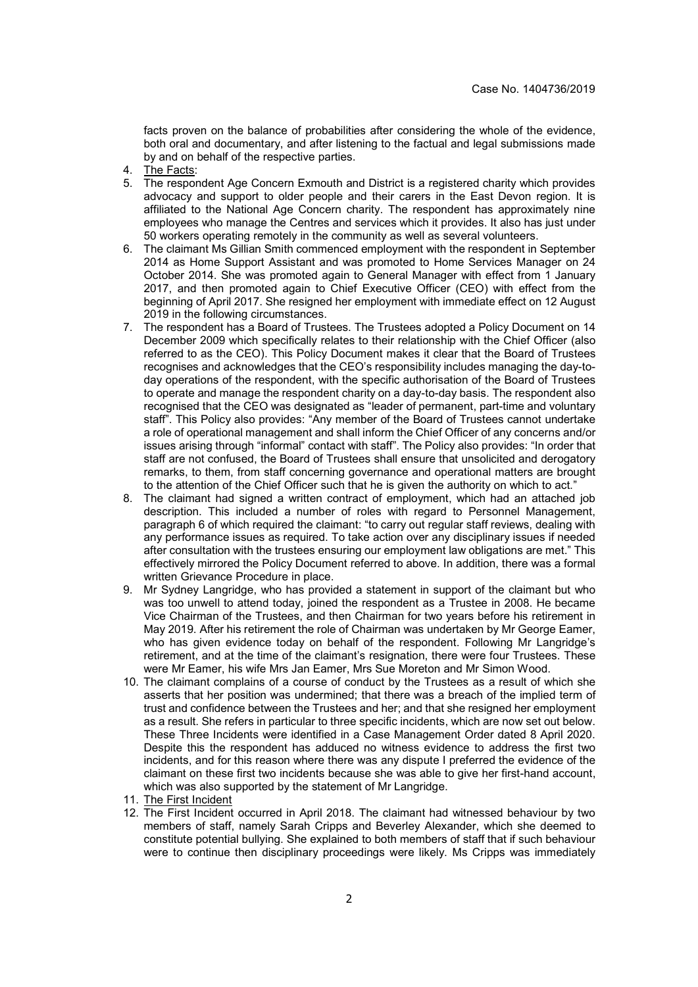facts proven on the balance of probabilities after considering the whole of the evidence, both oral and documentary, and after listening to the factual and legal submissions made by and on behalf of the respective parties.

- 4. The Facts:
- 5. The respondent Age Concern Exmouth and District is a registered charity which provides advocacy and support to older people and their carers in the East Devon region. It is affiliated to the National Age Concern charity. The respondent has approximately nine employees who manage the Centres and services which it provides. It also has just under 50 workers operating remotely in the community as well as several volunteers.
- 6. The claimant Ms Gillian Smith commenced employment with the respondent in September 2014 as Home Support Assistant and was promoted to Home Services Manager on 24 October 2014. She was promoted again to General Manager with effect from 1 January 2017, and then promoted again to Chief Executive Officer (CEO) with effect from the beginning of April 2017. She resigned her employment with immediate effect on 12 August 2019 in the following circumstances.
- 7. The respondent has a Board of Trustees. The Trustees adopted a Policy Document on 14 December 2009 which specifically relates to their relationship with the Chief Officer (also referred to as the CEO). This Policy Document makes it clear that the Board of Trustees recognises and acknowledges that the CEO's responsibility includes managing the day-today operations of the respondent, with the specific authorisation of the Board of Trustees to operate and manage the respondent charity on a day-to-day basis. The respondent also recognised that the CEO was designated as "leader of permanent, part-time and voluntary staff". This Policy also provides: "Any member of the Board of Trustees cannot undertake a role of operational management and shall inform the Chief Officer of any concerns and/or issues arising through "informal" contact with staff". The Policy also provides: "In order that staff are not confused, the Board of Trustees shall ensure that unsolicited and derogatory remarks, to them, from staff concerning governance and operational matters are brought to the attention of the Chief Officer such that he is given the authority on which to act."
- 8. The claimant had signed a written contract of employment, which had an attached job description. This included a number of roles with regard to Personnel Management, paragraph 6 of which required the claimant: "to carry out regular staff reviews, dealing with any performance issues as required. To take action over any disciplinary issues if needed after consultation with the trustees ensuring our employment law obligations are met." This effectively mirrored the Policy Document referred to above. In addition, there was a formal written Grievance Procedure in place.
- 9. Mr Sydney Langridge, who has provided a statement in support of the claimant but who was too unwell to attend today, joined the respondent as a Trustee in 2008. He became Vice Chairman of the Trustees, and then Chairman for two years before his retirement in May 2019. After his retirement the role of Chairman was undertaken by Mr George Eamer, who has given evidence today on behalf of the respondent. Following Mr Langridge's retirement, and at the time of the claimant's resignation, there were four Trustees. These were Mr Eamer, his wife Mrs Jan Eamer, Mrs Sue Moreton and Mr Simon Wood.
- 10. The claimant complains of a course of conduct by the Trustees as a result of which she asserts that her position was undermined; that there was a breach of the implied term of trust and confidence between the Trustees and her; and that she resigned her employment as a result. She refers in particular to three specific incidents, which are now set out below. These Three Incidents were identified in a Case Management Order dated 8 April 2020. Despite this the respondent has adduced no witness evidence to address the first two incidents, and for this reason where there was any dispute I preferred the evidence of the claimant on these first two incidents because she was able to give her first-hand account, which was also supported by the statement of Mr Langridge.
- 11. The First Incident
- 12. The First Incident occurred in April 2018. The claimant had witnessed behaviour by two members of staff, namely Sarah Cripps and Beverley Alexander, which she deemed to constitute potential bullying. She explained to both members of staff that if such behaviour were to continue then disciplinary proceedings were likely. Ms Cripps was immediately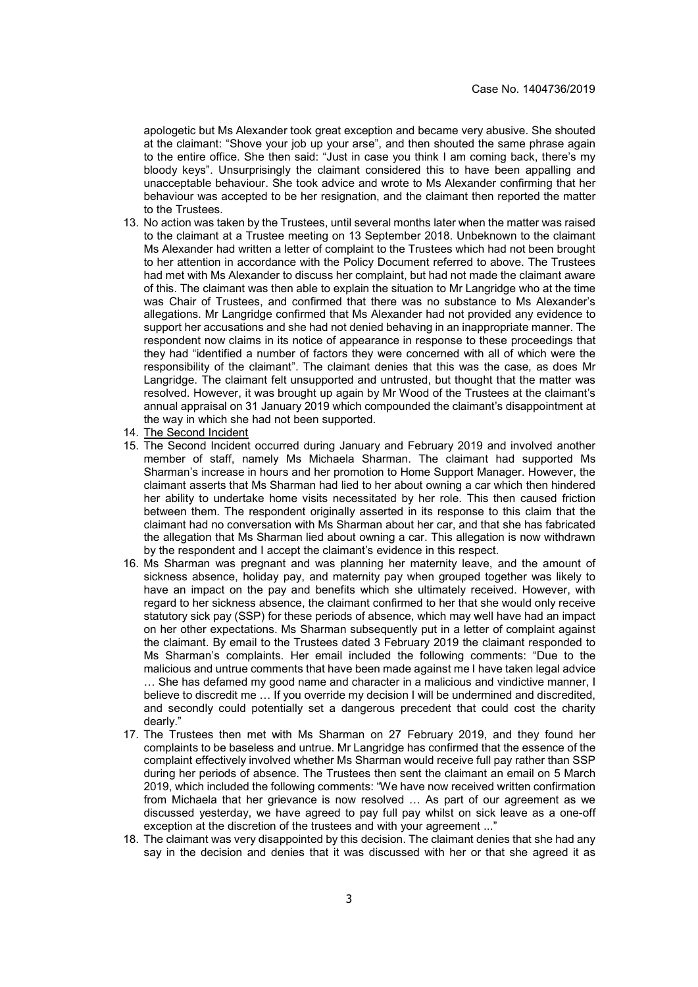apologetic but Ms Alexander took great exception and became very abusive. She shouted at the claimant: "Shove your job up your arse", and then shouted the same phrase again to the entire office. She then said: "Just in case you think I am coming back, there's my bloody keys". Unsurprisingly the claimant considered this to have been appalling and unacceptable behaviour. She took advice and wrote to Ms Alexander confirming that her behaviour was accepted to be her resignation, and the claimant then reported the matter to the Trustees.

- 13. No action was taken by the Trustees, until several months later when the matter was raised to the claimant at a Trustee meeting on 13 September 2018. Unbeknown to the claimant Ms Alexander had written a letter of complaint to the Trustees which had not been brought to her attention in accordance with the Policy Document referred to above. The Trustees had met with Ms Alexander to discuss her complaint, but had not made the claimant aware of this. The claimant was then able to explain the situation to Mr Langridge who at the time was Chair of Trustees, and confirmed that there was no substance to Ms Alexander's allegations. Mr Langridge confirmed that Ms Alexander had not provided any evidence to support her accusations and she had not denied behaving in an inappropriate manner. The respondent now claims in its notice of appearance in response to these proceedings that they had "identified a number of factors they were concerned with all of which were the responsibility of the claimant". The claimant denies that this was the case, as does Mr Langridge. The claimant felt unsupported and untrusted, but thought that the matter was resolved. However, it was brought up again by Mr Wood of the Trustees at the claimant's annual appraisal on 31 January 2019 which compounded the claimant's disappointment at the way in which she had not been supported.
- 14. The Second Incident
- 15. The Second Incident occurred during January and February 2019 and involved another member of staff, namely Ms Michaela Sharman. The claimant had supported Ms Sharman's increase in hours and her promotion to Home Support Manager. However, the claimant asserts that Ms Sharman had lied to her about owning a car which then hindered her ability to undertake home visits necessitated by her role. This then caused friction between them. The respondent originally asserted in its response to this claim that the claimant had no conversation with Ms Sharman about her car, and that she has fabricated the allegation that Ms Sharman lied about owning a car. This allegation is now withdrawn by the respondent and I accept the claimant's evidence in this respect.
- 16. Ms Sharman was pregnant and was planning her maternity leave, and the amount of sickness absence, holiday pay, and maternity pay when grouped together was likely to have an impact on the pay and benefits which she ultimately received. However, with regard to her sickness absence, the claimant confirmed to her that she would only receive statutory sick pay (SSP) for these periods of absence, which may well have had an impact on her other expectations. Ms Sharman subsequently put in a letter of complaint against the claimant. By email to the Trustees dated 3 February 2019 the claimant responded to Ms Sharman's complaints. Her email included the following comments: "Due to the malicious and untrue comments that have been made against me I have taken legal advice … She has defamed my good name and character in a malicious and vindictive manner, I believe to discredit me … If you override my decision I will be undermined and discredited, and secondly could potentially set a dangerous precedent that could cost the charity dearly."
- 17. The Trustees then met with Ms Sharman on 27 February 2019, and they found her complaints to be baseless and untrue. Mr Langridge has confirmed that the essence of the complaint effectively involved whether Ms Sharman would receive full pay rather than SSP during her periods of absence. The Trustees then sent the claimant an email on 5 March 2019, which included the following comments: "We have now received written confirmation from Michaela that her grievance is now resolved … As part of our agreement as we discussed yesterday, we have agreed to pay full pay whilst on sick leave as a one-off exception at the discretion of the trustees and with your agreement ..."
- 18. The claimant was very disappointed by this decision. The claimant denies that she had any say in the decision and denies that it was discussed with her or that she agreed it as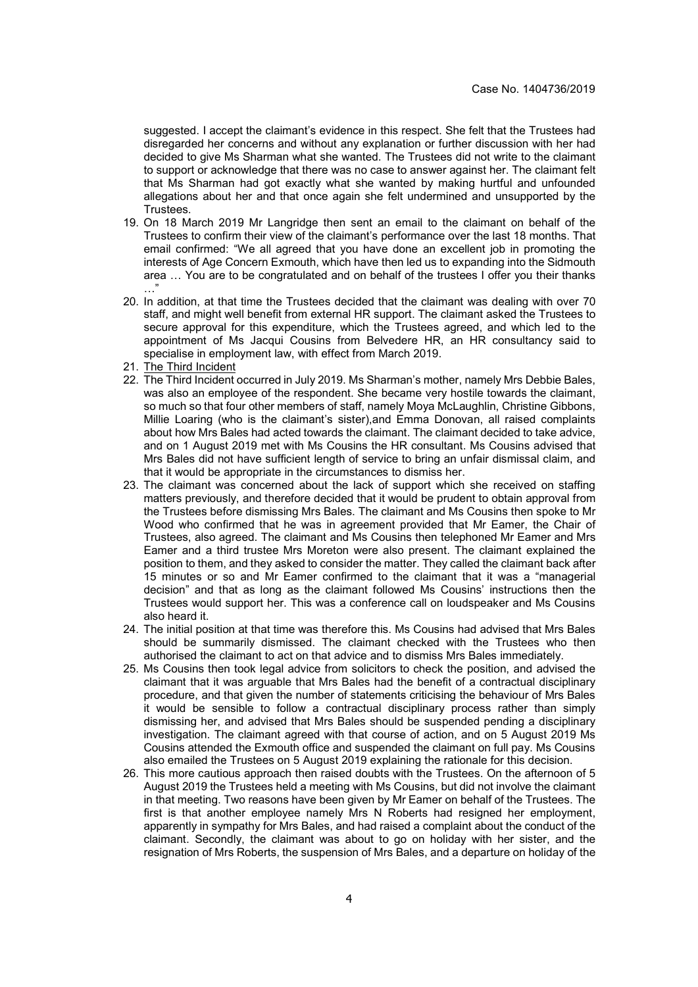suggested. I accept the claimant's evidence in this respect. She felt that the Trustees had disregarded her concerns and without any explanation or further discussion with her had decided to give Ms Sharman what she wanted. The Trustees did not write to the claimant to support or acknowledge that there was no case to answer against her. The claimant felt that Ms Sharman had got exactly what she wanted by making hurtful and unfounded allegations about her and that once again she felt undermined and unsupported by the Trustees.

- 19. On 18 March 2019 Mr Langridge then sent an email to the claimant on behalf of the Trustees to confirm their view of the claimant's performance over the last 18 months. That email confirmed: "We all agreed that you have done an excellent job in promoting the interests of Age Concern Exmouth, which have then led us to expanding into the Sidmouth area … You are to be congratulated and on behalf of the trustees I offer you their thanks .<br>. . .
- 20. In addition, at that time the Trustees decided that the claimant was dealing with over 70 staff, and might well benefit from external HR support. The claimant asked the Trustees to secure approval for this expenditure, which the Trustees agreed, and which led to the appointment of Ms Jacqui Cousins from Belvedere HR, an HR consultancy said to specialise in employment law, with effect from March 2019.
- 21. The Third Incident
- 22. The Third Incident occurred in July 2019. Ms Sharman's mother, namely Mrs Debbie Bales, was also an employee of the respondent. She became very hostile towards the claimant, so much so that four other members of staff, namely Moya McLaughlin, Christine Gibbons, Millie Loaring (who is the claimant's sister),and Emma Donovan, all raised complaints about how Mrs Bales had acted towards the claimant. The claimant decided to take advice, and on 1 August 2019 met with Ms Cousins the HR consultant. Ms Cousins advised that Mrs Bales did not have sufficient length of service to bring an unfair dismissal claim, and that it would be appropriate in the circumstances to dismiss her.
- 23. The claimant was concerned about the lack of support which she received on staffing matters previously, and therefore decided that it would be prudent to obtain approval from the Trustees before dismissing Mrs Bales. The claimant and Ms Cousins then spoke to Mr Wood who confirmed that he was in agreement provided that Mr Eamer, the Chair of Trustees, also agreed. The claimant and Ms Cousins then telephoned Mr Eamer and Mrs Eamer and a third trustee Mrs Moreton were also present. The claimant explained the position to them, and they asked to consider the matter. They called the claimant back after 15 minutes or so and Mr Eamer confirmed to the claimant that it was a "managerial decision" and that as long as the claimant followed Ms Cousins' instructions then the Trustees would support her. This was a conference call on loudspeaker and Ms Cousins also heard it.
- 24. The initial position at that time was therefore this. Ms Cousins had advised that Mrs Bales should be summarily dismissed. The claimant checked with the Trustees who then authorised the claimant to act on that advice and to dismiss Mrs Bales immediately.
- 25. Ms Cousins then took legal advice from solicitors to check the position, and advised the claimant that it was arguable that Mrs Bales had the benefit of a contractual disciplinary procedure, and that given the number of statements criticising the behaviour of Mrs Bales it would be sensible to follow a contractual disciplinary process rather than simply dismissing her, and advised that Mrs Bales should be suspended pending a disciplinary investigation. The claimant agreed with that course of action, and on 5 August 2019 Ms Cousins attended the Exmouth office and suspended the claimant on full pay. Ms Cousins also emailed the Trustees on 5 August 2019 explaining the rationale for this decision.
- 26. This more cautious approach then raised doubts with the Trustees. On the afternoon of 5 August 2019 the Trustees held a meeting with Ms Cousins, but did not involve the claimant in that meeting. Two reasons have been given by Mr Eamer on behalf of the Trustees. The first is that another employee namely Mrs N Roberts had resigned her employment, apparently in sympathy for Mrs Bales, and had raised a complaint about the conduct of the claimant. Secondly, the claimant was about to go on holiday with her sister, and the resignation of Mrs Roberts, the suspension of Mrs Bales, and a departure on holiday of the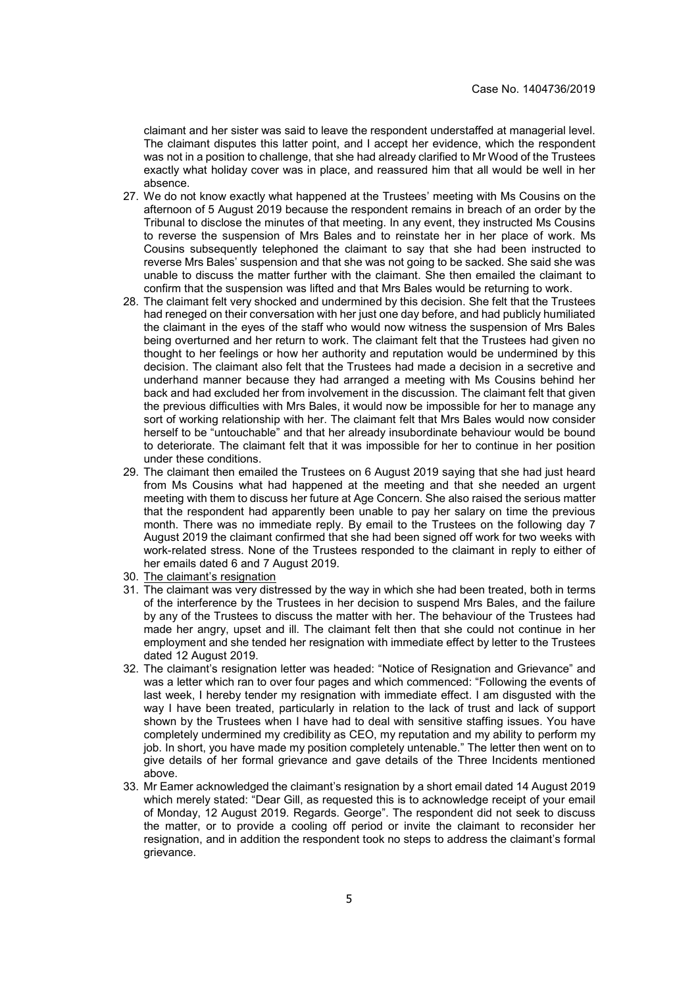claimant and her sister was said to leave the respondent understaffed at managerial level. The claimant disputes this latter point, and I accept her evidence, which the respondent was not in a position to challenge, that she had already clarified to Mr Wood of the Trustees exactly what holiday cover was in place, and reassured him that all would be well in her absence.

- 27. We do not know exactly what happened at the Trustees' meeting with Ms Cousins on the afternoon of 5 August 2019 because the respondent remains in breach of an order by the Tribunal to disclose the minutes of that meeting. In any event, they instructed Ms Cousins to reverse the suspension of Mrs Bales and to reinstate her in her place of work. Ms Cousins subsequently telephoned the claimant to say that she had been instructed to reverse Mrs Bales' suspension and that she was not going to be sacked. She said she was unable to discuss the matter further with the claimant. She then emailed the claimant to confirm that the suspension was lifted and that Mrs Bales would be returning to work.
- 28. The claimant felt very shocked and undermined by this decision. She felt that the Trustees had reneged on their conversation with her just one day before, and had publicly humiliated the claimant in the eyes of the staff who would now witness the suspension of Mrs Bales being overturned and her return to work. The claimant felt that the Trustees had given no thought to her feelings or how her authority and reputation would be undermined by this decision. The claimant also felt that the Trustees had made a decision in a secretive and underhand manner because they had arranged a meeting with Ms Cousins behind her back and had excluded her from involvement in the discussion. The claimant felt that given the previous difficulties with Mrs Bales, it would now be impossible for her to manage any sort of working relationship with her. The claimant felt that Mrs Bales would now consider herself to be "untouchable" and that her already insubordinate behaviour would be bound to deteriorate. The claimant felt that it was impossible for her to continue in her position under these conditions.
- 29. The claimant then emailed the Trustees on 6 August 2019 saying that she had just heard from Ms Cousins what had happened at the meeting and that she needed an urgent meeting with them to discuss her future at Age Concern. She also raised the serious matter that the respondent had apparently been unable to pay her salary on time the previous month. There was no immediate reply. By email to the Trustees on the following day 7 August 2019 the claimant confirmed that she had been signed off work for two weeks with work-related stress. None of the Trustees responded to the claimant in reply to either of her emails dated 6 and 7 August 2019.
- 30. The claimant's resignation
- 31. The claimant was very distressed by the way in which she had been treated, both in terms of the interference by the Trustees in her decision to suspend Mrs Bales, and the failure by any of the Trustees to discuss the matter with her. The behaviour of the Trustees had made her angry, upset and ill. The claimant felt then that she could not continue in her employment and she tended her resignation with immediate effect by letter to the Trustees dated 12 August 2019.
- 32. The claimant's resignation letter was headed: "Notice of Resignation and Grievance" and was a letter which ran to over four pages and which commenced: "Following the events of last week, I hereby tender my resignation with immediate effect. I am disgusted with the way I have been treated, particularly in relation to the lack of trust and lack of support shown by the Trustees when I have had to deal with sensitive staffing issues. You have completely undermined my credibility as CEO, my reputation and my ability to perform my job. In short, you have made my position completely untenable." The letter then went on to give details of her formal grievance and gave details of the Three Incidents mentioned above.
- 33. Mr Eamer acknowledged the claimant's resignation by a short email dated 14 August 2019 which merely stated: "Dear Gill, as requested this is to acknowledge receipt of your email of Monday, 12 August 2019. Regards. George". The respondent did not seek to discuss the matter, or to provide a cooling off period or invite the claimant to reconsider her resignation, and in addition the respondent took no steps to address the claimant's formal grievance.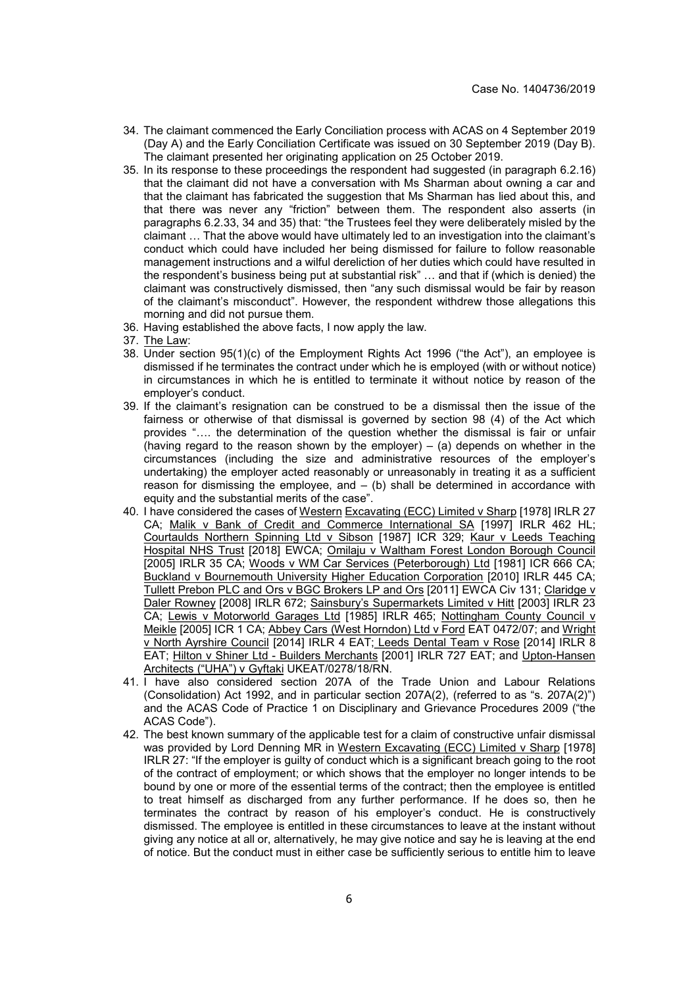- 34. The claimant commenced the Early Conciliation process with ACAS on 4 September 2019 (Day A) and the Early Conciliation Certificate was issued on 30 September 2019 (Day B). The claimant presented her originating application on 25 October 2019.
- 35. In its response to these proceedings the respondent had suggested (in paragraph 6.2.16) that the claimant did not have a conversation with Ms Sharman about owning a car and that the claimant has fabricated the suggestion that Ms Sharman has lied about this, and that there was never any "friction" between them. The respondent also asserts (in paragraphs 6.2.33, 34 and 35) that: "the Trustees feel they were deliberately misled by the claimant … That the above would have ultimately led to an investigation into the claimant's conduct which could have included her being dismissed for failure to follow reasonable management instructions and a wilful dereliction of her duties which could have resulted in the respondent's business being put at substantial risk" … and that if (which is denied) the claimant was constructively dismissed, then "any such dismissal would be fair by reason of the claimant's misconduct". However, the respondent withdrew those allegations this morning and did not pursue them.
- 36. Having established the above facts, I now apply the law.
- 37. The Law:
- 38. Under section 95(1)(c) of the Employment Rights Act 1996 ("the Act"), an employee is dismissed if he terminates the contract under which he is employed (with or without notice) in circumstances in which he is entitled to terminate it without notice by reason of the employer's conduct.
- 39. If the claimant's resignation can be construed to be a dismissal then the issue of the fairness or otherwise of that dismissal is governed by section 98 (4) of the Act which provides "…. the determination of the question whether the dismissal is fair or unfair (having regard to the reason shown by the employer) – (a) depends on whether in the circumstances (including the size and administrative resources of the employer's undertaking) the employer acted reasonably or unreasonably in treating it as a sufficient reason for dismissing the employee, and  $-$  (b) shall be determined in accordance with equity and the substantial merits of the case".
- 40. I have considered the cases of Western Excavating (ECC) Limited v Sharp [1978] IRLR 27 CA; Malik v Bank of Credit and Commerce International SA [1997] IRLR 462 HL; Courtaulds Northern Spinning Ltd v Sibson [1987] ICR 329; Kaur v Leeds Teaching Hospital NHS Trust [2018] EWCA; Omilaju v Waltham Forest London Borough Council [2005] IRLR 35 CA; Woods v WM Car Services (Peterborough) Ltd [1981] ICR 666 CA; Buckland v Bournemouth University Higher Education Corporation [2010] IRLR 445 CA; Tullett Prebon PLC and Ors v BGC Brokers LP and Ors [2011] EWCA Civ 131; Claridge v Daler Rowney [2008] IRLR 672; Sainsbury's Supermarkets Limited v Hitt [2003] IRLR 23 CA; Lewis v Motorworld Garages Ltd [1985] IRLR 465; Nottingham County Council v Meikle [2005] ICR 1 CA; Abbey Cars (West Horndon) Ltd v Ford EAT 0472/07; and Wright v North Ayrshire Council [2014] IRLR 4 EAT; Leeds Dental Team v Rose [2014] IRLR 8 EAT; Hilton v Shiner Ltd - Builders Merchants [2001] IRLR 727 EAT; and Upton-Hansen Architects ("UHA") v Gyftaki UKEAT/0278/18/RN.
- 41. I have also considered section 207A of the Trade Union and Labour Relations (Consolidation) Act 1992, and in particular section 207A(2), (referred to as "s. 207A(2)") and the ACAS Code of Practice 1 on Disciplinary and Grievance Procedures 2009 ("the ACAS Code").
- 42. The best known summary of the applicable test for a claim of constructive unfair dismissal was provided by Lord Denning MR in Western Excavating (ECC) Limited v Sharp [1978] IRLR 27: "If the employer is guilty of conduct which is a significant breach going to the root of the contract of employment; or which shows that the employer no longer intends to be bound by one or more of the essential terms of the contract; then the employee is entitled to treat himself as discharged from any further performance. If he does so, then he terminates the contract by reason of his employer's conduct. He is constructively dismissed. The employee is entitled in these circumstances to leave at the instant without giving any notice at all or, alternatively, he may give notice and say he is leaving at the end of notice. But the conduct must in either case be sufficiently serious to entitle him to leave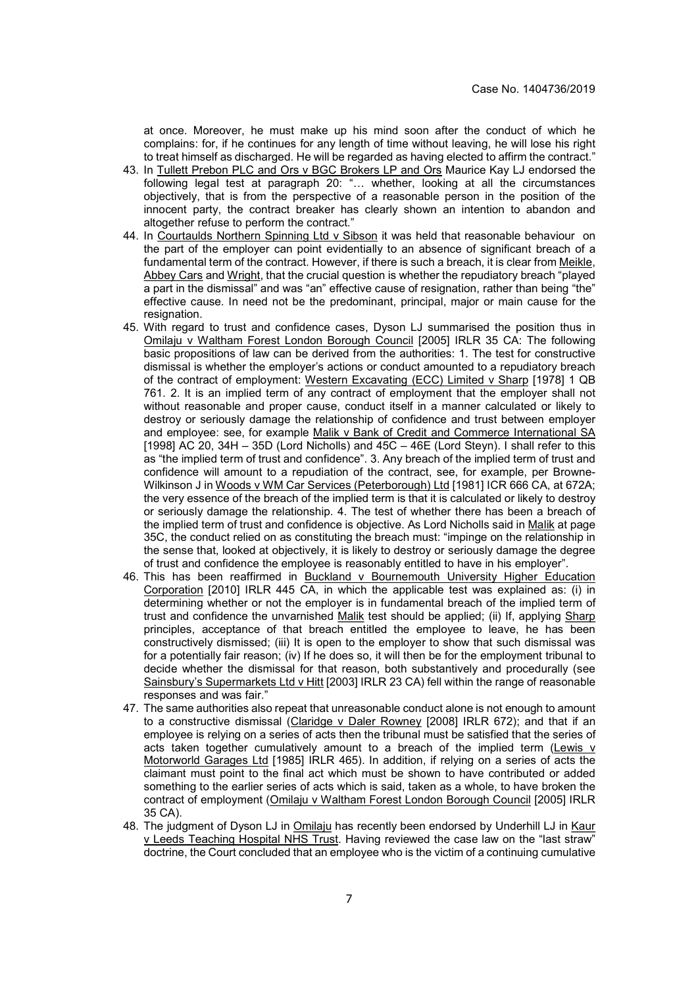at once. Moreover, he must make up his mind soon after the conduct of which he complains: for, if he continues for any length of time without leaving, he will lose his right to treat himself as discharged. He will be regarded as having elected to affirm the contract."

- 43. In Tullett Prebon PLC and Ors v BGC Brokers LP and Ors Maurice Kay LJ endorsed the following legal test at paragraph 20: "… whether, looking at all the circumstances objectively, that is from the perspective of a reasonable person in the position of the innocent party, the contract breaker has clearly shown an intention to abandon and altogether refuse to perform the contract."
- 44. In Courtaulds Northern Spinning Ltd v Sibson it was held that reasonable behaviour on the part of the employer can point evidentially to an absence of significant breach of a fundamental term of the contract. However, if there is such a breach, it is clear from Meikle, Abbey Cars and Wright, that the crucial question is whether the repudiatory breach "played a part in the dismissal" and was "an" effective cause of resignation, rather than being "the" effective cause. In need not be the predominant, principal, major or main cause for the resignation.
- 45. With regard to trust and confidence cases, Dyson LJ summarised the position thus in Omilaju v Waltham Forest London Borough Council [2005] IRLR 35 CA: The following basic propositions of law can be derived from the authorities: 1. The test for constructive dismissal is whether the employer's actions or conduct amounted to a repudiatory breach of the contract of employment: Western Excavating (ECC) Limited v Sharp [1978] 1 QB 761. 2. It is an implied term of any contract of employment that the employer shall not without reasonable and proper cause, conduct itself in a manner calculated or likely to destroy or seriously damage the relationship of confidence and trust between employer and employee: see, for example Malik v Bank of Credit and Commerce International SA [1998] AC 20, 34H – 35D (Lord Nicholls) and 45C – 46E (Lord Steyn). I shall refer to this as "the implied term of trust and confidence". 3. Any breach of the implied term of trust and confidence will amount to a repudiation of the contract, see, for example, per Browne-Wilkinson J in Woods v WM Car Services (Peterborough) Ltd [1981] ICR 666 CA, at 672A; the very essence of the breach of the implied term is that it is calculated or likely to destroy or seriously damage the relationship. 4. The test of whether there has been a breach of the implied term of trust and confidence is objective. As Lord Nicholls said in Malik at page 35C, the conduct relied on as constituting the breach must: "impinge on the relationship in the sense that, looked at objectively, it is likely to destroy or seriously damage the degree of trust and confidence the employee is reasonably entitled to have in his employer".
- 46. This has been reaffirmed in Buckland v Bournemouth University Higher Education Corporation [2010] IRLR 445 CA, in which the applicable test was explained as: (i) in determining whether or not the employer is in fundamental breach of the implied term of trust and confidence the unvarnished Malik test should be applied; (ii) If, applying Sharp principles, acceptance of that breach entitled the employee to leave, he has been constructively dismissed; (iii) It is open to the employer to show that such dismissal was for a potentially fair reason; (iv) If he does so, it will then be for the employment tribunal to decide whether the dismissal for that reason, both substantively and procedurally (see Sainsbury's Supermarkets Ltd v Hitt [2003] IRLR 23 CA) fell within the range of reasonable responses and was fair."
- 47. The same authorities also repeat that unreasonable conduct alone is not enough to amount to a constructive dismissal (Claridge v Daler Rowney [2008] IRLR 672); and that if an employee is relying on a series of acts then the tribunal must be satisfied that the series of acts taken together cumulatively amount to a breach of the implied term (Lewis v Motorworld Garages Ltd [1985] IRLR 465). In addition, if relying on a series of acts the claimant must point to the final act which must be shown to have contributed or added something to the earlier series of acts which is said, taken as a whole, to have broken the contract of employment (Omilaju v Waltham Forest London Borough Council [2005] IRLR 35 CA).
- 48. The judgment of Dyson LJ in Omilaju has recently been endorsed by Underhill LJ in Kaur v Leeds Teaching Hospital NHS Trust. Having reviewed the case law on the "last straw" doctrine, the Court concluded that an employee who is the victim of a continuing cumulative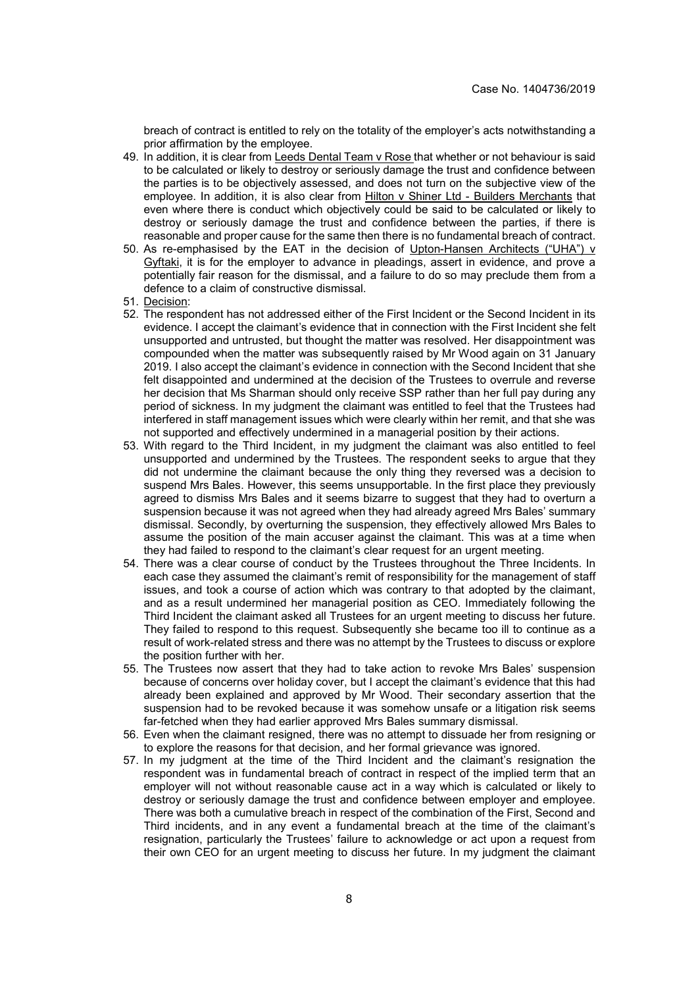breach of contract is entitled to rely on the totality of the employer's acts notwithstanding a prior affirmation by the employee.

- 49. In addition, it is clear from Leeds Dental Team v Rose that whether or not behaviour is said to be calculated or likely to destroy or seriously damage the trust and confidence between the parties is to be objectively assessed, and does not turn on the subjective view of the employee. In addition, it is also clear from Hilton v Shiner Ltd - Builders Merchants that even where there is conduct which objectively could be said to be calculated or likely to destroy or seriously damage the trust and confidence between the parties, if there is reasonable and proper cause for the same then there is no fundamental breach of contract.
- 50. As re-emphasised by the EAT in the decision of Upton-Hansen Architects ("UHA") v Gyftaki, it is for the employer to advance in pleadings, assert in evidence, and prove a potentially fair reason for the dismissal, and a failure to do so may preclude them from a defence to a claim of constructive dismissal.
- 51. Decision:
- 52. The respondent has not addressed either of the First Incident or the Second Incident in its evidence. I accept the claimant's evidence that in connection with the First Incident she felt unsupported and untrusted, but thought the matter was resolved. Her disappointment was compounded when the matter was subsequently raised by Mr Wood again on 31 January 2019. I also accept the claimant's evidence in connection with the Second Incident that she felt disappointed and undermined at the decision of the Trustees to overrule and reverse her decision that Ms Sharman should only receive SSP rather than her full pay during any period of sickness. In my judgment the claimant was entitled to feel that the Trustees had interfered in staff management issues which were clearly within her remit, and that she was not supported and effectively undermined in a managerial position by their actions.
- 53. With regard to the Third Incident, in my judgment the claimant was also entitled to feel unsupported and undermined by the Trustees. The respondent seeks to argue that they did not undermine the claimant because the only thing they reversed was a decision to suspend Mrs Bales. However, this seems unsupportable. In the first place they previously agreed to dismiss Mrs Bales and it seems bizarre to suggest that they had to overturn a suspension because it was not agreed when they had already agreed Mrs Bales' summary dismissal. Secondly, by overturning the suspension, they effectively allowed Mrs Bales to assume the position of the main accuser against the claimant. This was at a time when they had failed to respond to the claimant's clear request for an urgent meeting.
- 54. There was a clear course of conduct by the Trustees throughout the Three Incidents. In each case they assumed the claimant's remit of responsibility for the management of staff issues, and took a course of action which was contrary to that adopted by the claimant, and as a result undermined her managerial position as CEO. Immediately following the Third Incident the claimant asked all Trustees for an urgent meeting to discuss her future. They failed to respond to this request. Subsequently she became too ill to continue as a result of work-related stress and there was no attempt by the Trustees to discuss or explore the position further with her.
- 55. The Trustees now assert that they had to take action to revoke Mrs Bales' suspension because of concerns over holiday cover, but I accept the claimant's evidence that this had already been explained and approved by Mr Wood. Their secondary assertion that the suspension had to be revoked because it was somehow unsafe or a litigation risk seems far-fetched when they had earlier approved Mrs Bales summary dismissal.
- 56. Even when the claimant resigned, there was no attempt to dissuade her from resigning or to explore the reasons for that decision, and her formal grievance was ignored.
- 57. In my judgment at the time of the Third Incident and the claimant's resignation the respondent was in fundamental breach of contract in respect of the implied term that an employer will not without reasonable cause act in a way which is calculated or likely to destroy or seriously damage the trust and confidence between employer and employee. There was both a cumulative breach in respect of the combination of the First, Second and Third incidents, and in any event a fundamental breach at the time of the claimant's resignation, particularly the Trustees' failure to acknowledge or act upon a request from their own CEO for an urgent meeting to discuss her future. In my judgment the claimant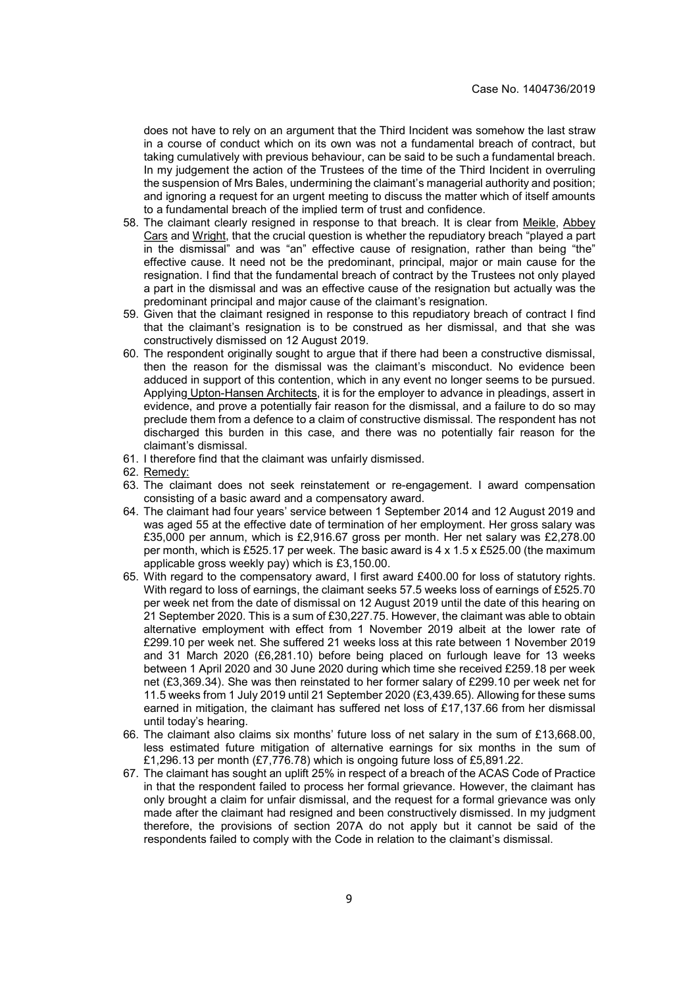does not have to rely on an argument that the Third Incident was somehow the last straw in a course of conduct which on its own was not a fundamental breach of contract, but taking cumulatively with previous behaviour, can be said to be such a fundamental breach. In my judgement the action of the Trustees of the time of the Third Incident in overruling the suspension of Mrs Bales, undermining the claimant's managerial authority and position; and ignoring a request for an urgent meeting to discuss the matter which of itself amounts to a fundamental breach of the implied term of trust and confidence.

- 58. The claimant clearly resigned in response to that breach. It is clear from Meikle, Abbey Cars and Wright, that the crucial question is whether the repudiatory breach "played a part in the dismissal" and was "an" effective cause of resignation, rather than being "the" effective cause. It need not be the predominant, principal, major or main cause for the resignation. I find that the fundamental breach of contract by the Trustees not only played a part in the dismissal and was an effective cause of the resignation but actually was the predominant principal and major cause of the claimant's resignation.
- 59. Given that the claimant resigned in response to this repudiatory breach of contract I find that the claimant's resignation is to be construed as her dismissal, and that she was constructively dismissed on 12 August 2019.
- 60. The respondent originally sought to argue that if there had been a constructive dismissal, then the reason for the dismissal was the claimant's misconduct. No evidence been adduced in support of this contention, which in any event no longer seems to be pursued. Applying Upton-Hansen Architects, it is for the employer to advance in pleadings, assert in evidence, and prove a potentially fair reason for the dismissal, and a failure to do so may preclude them from a defence to a claim of constructive dismissal. The respondent has not discharged this burden in this case, and there was no potentially fair reason for the claimant's dismissal.
- 61. I therefore find that the claimant was unfairly dismissed.
- 62. Remedy:
- 63. The claimant does not seek reinstatement or re-engagement. I award compensation consisting of a basic award and a compensatory award.
- 64. The claimant had four years' service between 1 September 2014 and 12 August 2019 and was aged 55 at the effective date of termination of her employment. Her gross salary was £35,000 per annum, which is £2,916.67 gross per month. Her net salary was £2,278.00 per month, which is £525.17 per week. The basic award is 4 x 1.5 x £525.00 (the maximum applicable gross weekly pay) which is £3,150.00.
- 65. With regard to the compensatory award, I first award £400.00 for loss of statutory rights. With regard to loss of earnings, the claimant seeks 57.5 weeks loss of earnings of £525.70 per week net from the date of dismissal on 12 August 2019 until the date of this hearing on 21 September 2020. This is a sum of £30,227.75. However, the claimant was able to obtain alternative employment with effect from 1 November 2019 albeit at the lower rate of £299.10 per week net. She suffered 21 weeks loss at this rate between 1 November 2019 and 31 March 2020 (£6,281.10) before being placed on furlough leave for 13 weeks between 1 April 2020 and 30 June 2020 during which time she received £259.18 per week net (£3,369.34). She was then reinstated to her former salary of £299.10 per week net for 11.5 weeks from 1 July 2019 until 21 September 2020 (£3,439.65). Allowing for these sums earned in mitigation, the claimant has suffered net loss of £17,137.66 from her dismissal until today's hearing.
- 66. The claimant also claims six months' future loss of net salary in the sum of £13,668.00, less estimated future mitigation of alternative earnings for six months in the sum of £1,296.13 per month (£7,776.78) which is ongoing future loss of £5,891.22.
- 67. The claimant has sought an uplift 25% in respect of a breach of the ACAS Code of Practice in that the respondent failed to process her formal grievance. However, the claimant has only brought a claim for unfair dismissal, and the request for a formal grievance was only made after the claimant had resigned and been constructively dismissed. In my judgment therefore, the provisions of section 207A do not apply but it cannot be said of the respondents failed to comply with the Code in relation to the claimant's dismissal.